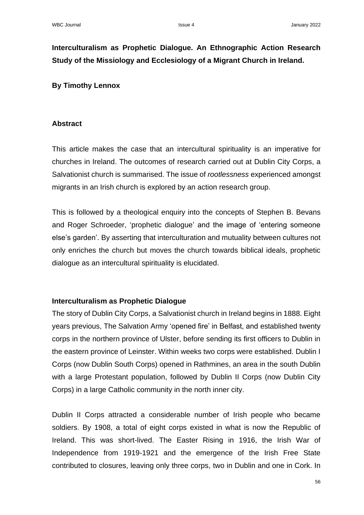# **Interculturalism as Prophetic Dialogue. An Ethnographic Action Research Study of the Missiology and Ecclesiology of a Migrant Church in Ireland.**

### **By Timothy Lennox**

#### **Abstract**

This article makes the case that an intercultural spirituality is an imperative for churches in Ireland. The outcomes of research carried out at Dublin City Corps, a Salvationist church is summarised. The issue of *rootlessness* experienced amongst migrants in an Irish church is explored by an action research group.

This is followed by a theological enquiry into the concepts of Stephen B. Bevans and Roger Schroeder, 'prophetic dialogue' and the image of 'entering someone else's garden'. By asserting that interculturation and mutuality between cultures not only enriches the church but moves the church towards biblical ideals, prophetic dialogue as an intercultural spirituality is elucidated.

#### **Interculturalism as Prophetic Dialogue**

The story of Dublin City Corps, a Salvationist church in Ireland begins in 1888. Eight years previous, The Salvation Army 'opened fire' in Belfast, and established twenty corps in the northern province of Ulster, before sending its first officers to Dublin in the eastern province of Leinster. Within weeks two corps were established. Dublin I Corps (now Dublin South Corps) opened in Rathmines, an area in the south Dublin with a large Protestant population, followed by Dublin II Corps (now Dublin City Corps) in a large Catholic community in the north inner city.

Dublin II Corps attracted a considerable number of Irish people who became soldiers. By 1908, a total of eight corps existed in what is now the Republic of Ireland. This was short-lived. The Easter Rising in 1916, the Irish War of Independence from 1919-1921 and the emergence of the Irish Free State contributed to closures, leaving only three corps, two in Dublin and one in Cork. In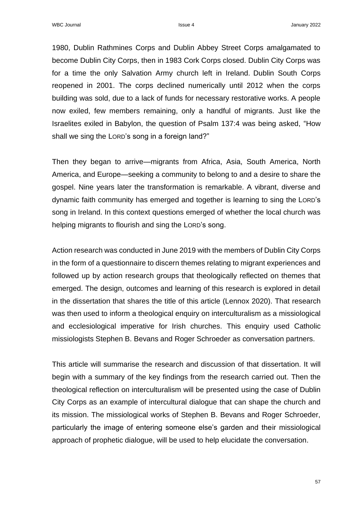1980, Dublin Rathmines Corps and Dublin Abbey Street Corps amalgamated to become Dublin City Corps, then in 1983 Cork Corps closed. Dublin City Corps was for a time the only Salvation Army church left in Ireland. Dublin South Corps reopened in 2001. The corps declined numerically until 2012 when the corps building was sold, due to a lack of funds for necessary restorative works. A people now exiled, few members remaining, only a handful of migrants. Just like the Israelites exiled in Babylon, the question of Psalm 137:4 was being asked, "How shall we sing the LORD's song in a foreign land?"

Then they began to arrive—migrants from Africa, Asia, South America, North America, and Europe—seeking a community to belong to and a desire to share the gospel. Nine years later the transformation is remarkable. A vibrant, diverse and dynamic faith community has emerged and together is learning to sing the LORD's song in Ireland. In this context questions emerged of whether the local church was helping migrants to flourish and sing the LORD's song.

Action research was conducted in June 2019 with the members of Dublin City Corps in the form of a questionnaire to discern themes relating to migrant experiences and followed up by action research groups that theologically reflected on themes that emerged. The design, outcomes and learning of this research is explored in detail in the dissertation that shares the title of this article (Lennox 2020). That research was then used to inform a theological enquiry on interculturalism as a missiological and ecclesiological imperative for Irish churches. This enquiry used Catholic missiologists Stephen B. Bevans and Roger Schroeder as conversation partners.

This article will summarise the research and discussion of that dissertation. It will begin with a summary of the key findings from the research carried out. Then the theological reflection on interculturalism will be presented using the case of Dublin City Corps as an example of intercultural dialogue that can shape the church and its mission. The missiological works of Stephen B. Bevans and Roger Schroeder, particularly the image of entering someone else's garden and their missiological approach of prophetic dialogue, will be used to help elucidate the conversation.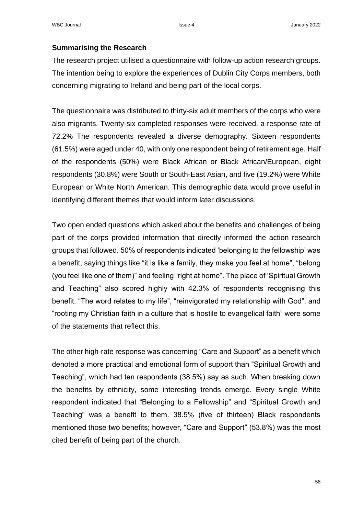# **Summarising the Research**

The research project utilised a questionnaire with follow-up action research groups. The intention being to explore the experiences of Dublin City Corps members, both concerning migrating to Ireland and being part of the local corps.

The questionnaire was distributed to thirty-six adult members of the corps who were also migrants. Twenty-six completed responses were received, a response rate of 72.2% The respondents revealed a diverse demography. Sixteen respondents (61.5%) were aged under 40, with only one respondent being of retirement age. Half of the respondents (50%) were Black African or Black African/European, eight respondents (30.8%) were South or South-East Asian, and five (19.2%) were White European or White North American. This demographic data would prove useful in identifying different themes that would inform later discussions.

Two open ended questions which asked about the benefits and challenges of being part of the corps provided information that directly informed the action research groups that followed. 50% of respondents indicated 'belonging to the fellowship' was a benefit, saying things like "it is like a family, they make you feel at home", "belong (you feel like one of them)" and feeling "right at home". The place of 'Spiritual Growth and Teaching" also scored highly with 42.3% of respondents recognising this benefit. "The word relates to my life", "reinvigorated my relationship with God", and "rooting my Christian faith in a culture that is hostile to evangelical faith" were some of the statements that reflect this.

The other high-rate response was concerning "Care and Support" as a benefit which denoted a more practical and emotional form of support than "Spiritual Growth and Teaching", which had ten respondents (38.5%) say as such. When breaking down the benefits by ethnicity, some interesting trends emerge. Every single White respondent indicated that "Belonging to a Fellowship" and "Spiritual Growth and Teaching" was a benefit to them. 38.5% (five of thirteen) Black respondents mentioned those two benefits; however, "Care and Support" (53.8%) was the most cited benefit of being part of the church.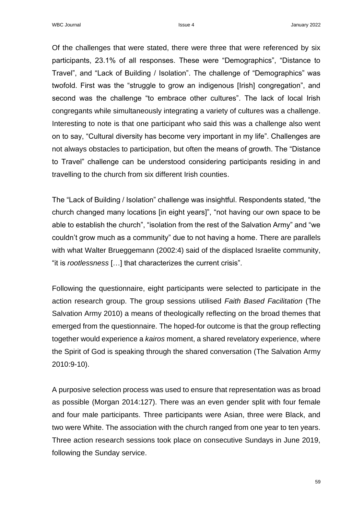Of the challenges that were stated, there were three that were referenced by six participants, 23.1% of all responses. These were "Demographics", "Distance to Travel", and "Lack of Building / Isolation". The challenge of "Demographics" was twofold. First was the "struggle to grow an indigenous [Irish] congregation", and second was the challenge "to embrace other cultures". The lack of local Irish congregants while simultaneously integrating a variety of cultures was a challenge. Interesting to note is that one participant who said this was a challenge also went on to say, "Cultural diversity has become very important in my life". Challenges are not always obstacles to participation, but often the means of growth. The "Distance to Travel" challenge can be understood considering participants residing in and travelling to the church from six different Irish counties.

The "Lack of Building / Isolation" challenge was insightful. Respondents stated, "the church changed many locations [in eight years]", "not having our own space to be able to establish the church", "isolation from the rest of the Salvation Army" and "we couldn't grow much as a community" due to not having a home. There are parallels with what Walter Brueggemann (2002:4) said of the displaced Israelite community, "it is *rootlessness* […] that characterizes the current crisis".

Following the questionnaire, eight participants were selected to participate in the action research group. The group sessions utilised *Faith Based Facilitation* (The Salvation Army 2010) a means of theologically reflecting on the broad themes that emerged from the questionnaire. The hoped-for outcome is that the group reflecting together would experience a *kairos* moment, a shared revelatory experience, where the Spirit of God is speaking through the shared conversation (The Salvation Army 2010:9-10).

A purposive selection process was used to ensure that representation was as broad as possible (Morgan 2014:127). There was an even gender split with four female and four male participants. Three participants were Asian, three were Black, and two were White. The association with the church ranged from one year to ten years. Three action research sessions took place on consecutive Sundays in June 2019, following the Sunday service.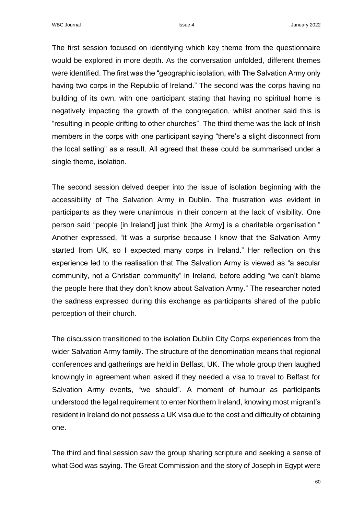The first session focused on identifying which key theme from the questionnaire would be explored in more depth. As the conversation unfolded, different themes were identified. The first was the "geographic isolation, with The Salvation Army only having two corps in the Republic of Ireland." The second was the corps having no building of its own, with one participant stating that having no spiritual home is negatively impacting the growth of the congregation, whilst another said this is "resulting in people drifting to other churches". The third theme was the lack of Irish members in the corps with one participant saying "there's a slight disconnect from the local setting" as a result. All agreed that these could be summarised under a single theme, isolation.

The second session delved deeper into the issue of isolation beginning with the accessibility of The Salvation Army in Dublin. The frustration was evident in participants as they were unanimous in their concern at the lack of visibility. One person said "people [in Ireland] just think [the Army] is a charitable organisation." Another expressed, "it was a surprise because I know that the Salvation Army started from UK, so I expected many corps in Ireland." Her reflection on this experience led to the realisation that The Salvation Army is viewed as "a secular community, not a Christian community" in Ireland, before adding "we can't blame the people here that they don't know about Salvation Army." The researcher noted the sadness expressed during this exchange as participants shared of the public perception of their church.

The discussion transitioned to the isolation Dublin City Corps experiences from the wider Salvation Army family. The structure of the denomination means that regional conferences and gatherings are held in Belfast, UK. The whole group then laughed knowingly in agreement when asked if they needed a visa to travel to Belfast for Salvation Army events, "we should". A moment of humour as participants understood the legal requirement to enter Northern Ireland, knowing most migrant's resident in Ireland do not possess a UK visa due to the cost and difficulty of obtaining one.

The third and final session saw the group sharing scripture and seeking a sense of what God was saying. The Great Commission and the story of Joseph in Egypt were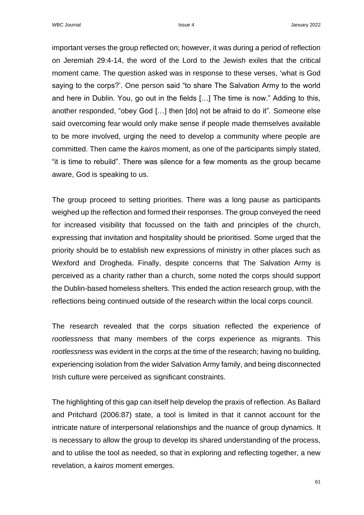important verses the group reflected on; however, it was during a period of reflection on Jeremiah 29:4-14, the word of the Lord to the Jewish exiles that the critical moment came. The question asked was in response to these verses, 'what is God saying to the corps?'. One person said "to share The Salvation Army to the world and here in Dublin. You, go out in the fields […] The time is now." Adding to this, another responded, "obey God […] then [do] not be afraid to do it". Someone else said overcoming fear would only make sense if people made themselves available to be more involved, urging the need to develop a community where people are committed. Then came the *kairos* moment, as one of the participants simply stated, "it is time to rebuild". There was silence for a few moments as the group became aware, God is speaking to us.

The group proceed to setting priorities. There was a long pause as participants weighed up the reflection and formed their responses. The group conveyed the need for increased visibility that focussed on the faith and principles of the church, expressing that invitation and hospitality should be prioritised. Some urged that the priority should be to establish new expressions of ministry in other places such as Wexford and Drogheda. Finally, despite concerns that The Salvation Army is perceived as a charity rather than a church, some noted the corps should support the Dublin-based homeless shelters. This ended the action research group, with the reflections being continued outside of the research within the local corps council.

The research revealed that the corps situation reflected the experience of *rootlessness* that many members of the corps experience as migrants. This *rootlessness* was evident in the corps at the time of the research; having no building, experiencing isolation from the wider Salvation Army family, and being disconnected Irish culture were perceived as significant constraints.

The highlighting of this gap can itself help develop the praxis of reflection. As Ballard and Pritchard (2006:87) state, a tool is limited in that it cannot account for the intricate nature of interpersonal relationships and the nuance of group dynamics. It is necessary to allow the group to develop its shared understanding of the process, and to utilise the tool as needed, so that in exploring and reflecting together, a new revelation, a *kairos* moment emerges.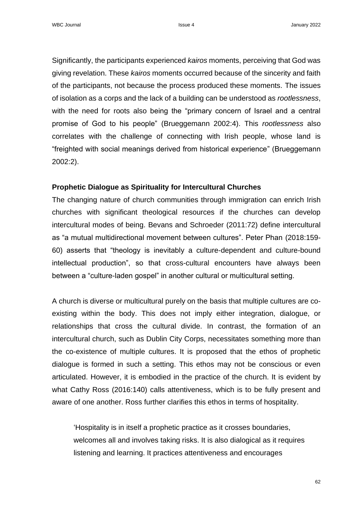Significantly, the participants experienced *kairos* moments, perceiving that God was giving revelation. These *kairos* moments occurred because of the sincerity and faith of the participants, not because the process produced these moments. The issues of isolation as a corps and the lack of a building can be understood as *rootlessness*, with the need for roots also being the "primary concern of Israel and a central promise of God to his people" (Brueggemann 2002:4). This *rootlessness* also correlates with the challenge of connecting with Irish people, whose land is "freighted with social meanings derived from historical experience" (Brueggemann 2002:2).

### **Prophetic Dialogue as Spirituality for Intercultural Churches**

The changing nature of church communities through immigration can enrich Irish churches with significant theological resources if the churches can develop intercultural modes of being. Bevans and Schroeder (2011:72) define intercultural as "a mutual multidirectional movement between cultures". Peter Phan (2018:159- 60) asserts that "theology is inevitably a culture-dependent and culture-bound intellectual production", so that cross-cultural encounters have always been between a "culture-laden gospel" in another cultural or multicultural setting.

A church is diverse or multicultural purely on the basis that multiple cultures are coexisting within the body. This does not imply either integration, dialogue, or relationships that cross the cultural divide. In contrast, the formation of an intercultural church, such as Dublin City Corps, necessitates something more than the co-existence of multiple cultures. It is proposed that the ethos of prophetic dialogue is formed in such a setting. This ethos may not be conscious or even articulated. However, it is embodied in the practice of the church. It is evident by what Cathy Ross (2016:140) calls attentiveness, which is to be fully present and aware of one another. Ross further clarifies this ethos in terms of hospitality.

'Hospitality is in itself a prophetic practice as it crosses boundaries, welcomes all and involves taking risks. It is also dialogical as it requires listening and learning. It practices attentiveness and encourages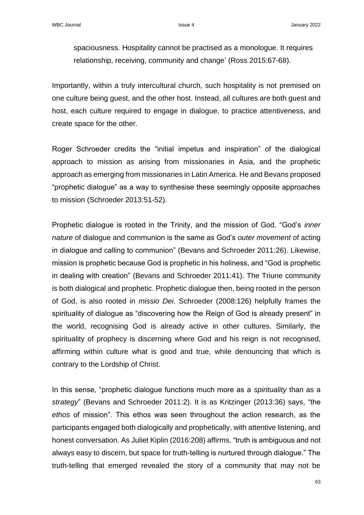spaciousness. Hospitality cannot be practised as a monologue. It requires relationship, receiving, community and change' (Ross 2015:67-68).

Importantly, within a truly intercultural church, such hospitality is not premised on one culture being guest, and the other host. Instead, all cultures are both guest and host, each culture required to engage in dialogue, to practice attentiveness, and create space for the other.

Roger Schroeder credits the "initial impetus and inspiration" of the dialogical approach to mission as arising from missionaries in Asia, and the prophetic approach as emerging from missionaries in Latin America. He and Bevans proposed "prophetic dialogue" as a way to synthesise these seemingly opposite approaches to mission (Schroeder 2013:51-52).

Prophetic dialogue is rooted in the Trinity, and the mission of God. "God's *inner nature* of dialogue and communion is the same as God's *outer movement* of acting in dialogue and calling to communion" (Bevans and Schroeder 2011:26). Likewise, mission is prophetic because God is prophetic in his holiness, and "God is prophetic in dealing with creation" (Bevans and Schroeder 2011:41). The Triune community is both dialogical and prophetic. Prophetic dialogue then, being rooted in the person of God, is also rooted in *missio Dei*. Schroeder (2008:126) helpfully frames the spirituality of dialogue as "discovering how the Reign of God is already present" in the world, recognising God is already active in other cultures. Similarly, the spirituality of prophecy is discerning where God and his reign is not recognised, affirming within culture what is good and true, while denouncing that which is contrary to the Lordship of Christ.

In this sense, "prophetic dialogue functions much more as a *spirituality* than as a *strategy*" (Bevans and Schroeder 2011:2). It is as Kritzinger (2013:36) says, "the *ethos* of mission". This ethos was seen throughout the action research, as the participants engaged both dialogically and prophetically, with attentive listening, and honest conversation. As Juliet Kiplin (2016:208) affirms, "truth is ambiguous and not always easy to discern, but space for truth-telling is nurtured through dialogue." The truth-telling that emerged revealed the story of a community that may not be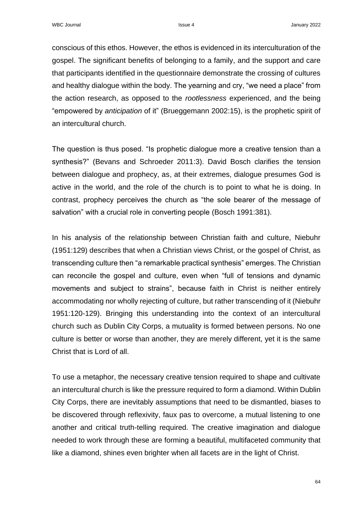conscious of this ethos. However, the ethos is evidenced in its interculturation of the gospel. The significant benefits of belonging to a family, and the support and care that participants identified in the questionnaire demonstrate the crossing of cultures and healthy dialogue within the body. The yearning and cry, "we need a place" from the action research, as opposed to the *rootlessness* experienced, and the being "empowered by *anticipation* of it" (Brueggemann 2002:15), is the prophetic spirit of an intercultural church.

The question is thus posed. "Is prophetic dialogue more a creative tension than a synthesis?" (Bevans and Schroeder 2011:3). David Bosch clarifies the tension between dialogue and prophecy, as, at their extremes, dialogue presumes God is active in the world, and the role of the church is to point to what he is doing. In contrast, prophecy perceives the church as "the sole bearer of the message of salvation" with a crucial role in converting people (Bosch 1991:381).

In his analysis of the relationship between Christian faith and culture, Niebuhr (1951:129) describes that when a Christian views Christ, or the gospel of Christ, as transcending culture then "a remarkable practical synthesis" emerges. The Christian can reconcile the gospel and culture, even when "full of tensions and dynamic movements and subject to strains", because faith in Christ is neither entirely accommodating nor wholly rejecting of culture, but rather transcending of it (Niebuhr 1951:120-129). Bringing this understanding into the context of an intercultural church such as Dublin City Corps, a mutuality is formed between persons. No one culture is better or worse than another, they are merely different, yet it is the same Christ that is Lord of all.

To use a metaphor, the necessary creative tension required to shape and cultivate an intercultural church is like the pressure required to form a diamond. Within Dublin City Corps, there are inevitably assumptions that need to be dismantled, biases to be discovered through reflexivity, faux pas to overcome, a mutual listening to one another and critical truth-telling required. The creative imagination and dialogue needed to work through these are forming a beautiful, multifaceted community that like a diamond, shines even brighter when all facets are in the light of Christ.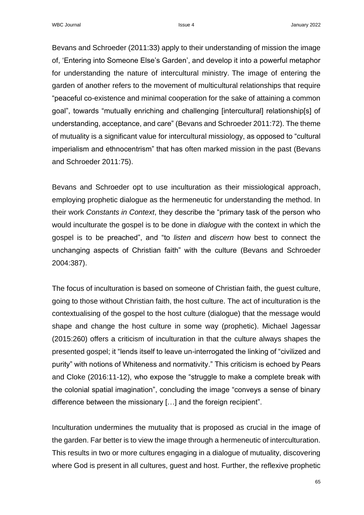Bevans and Schroeder (2011:33) apply to their understanding of mission the image of, 'Entering into Someone Else's Garden', and develop it into a powerful metaphor for understanding the nature of intercultural ministry. The image of entering the garden of another refers to the movement of multicultural relationships that require "peaceful co-existence and minimal cooperation for the sake of attaining a common goal", towards "mutually enriching and challenging [intercultural] relationship[s] of understanding, acceptance, and care" (Bevans and Schroeder 2011:72). The theme of mutuality is a significant value for intercultural missiology, as opposed to "cultural imperialism and ethnocentrism" that has often marked mission in the past (Bevans and Schroeder 2011:75).

Bevans and Schroeder opt to use inculturation as their missiological approach, employing prophetic dialogue as the hermeneutic for understanding the method. In their work *Constants in Context*, they describe the "primary task of the person who would inculturate the gospel is to be done in *dialogue* with the context in which the gospel is to be preached", and "to *listen* and *discern* how best to connect the unchanging aspects of Christian faith" with the culture (Bevans and Schroeder 2004:387).

The focus of inculturation is based on someone of Christian faith, the guest culture, going to those without Christian faith, the host culture. The act of inculturation is the contextualising of the gospel to the host culture (dialogue) that the message would shape and change the host culture in some way (prophetic). Michael Jagessar (2015:260) offers a criticism of inculturation in that the culture always shapes the presented gospel; it "lends itself to leave un-interrogated the linking of "civilized and purity" with notions of Whiteness and normativity." This criticism is echoed by Pears and Cloke (2016:11-12), who expose the "struggle to make a complete break with the colonial spatial imagination", concluding the image "conveys a sense of binary difference between the missionary […] and the foreign recipient".

Inculturation undermines the mutuality that is proposed as crucial in the image of the garden. Far better is to view the image through a hermeneutic of interculturation. This results in two or more cultures engaging in a dialogue of mutuality, discovering where God is present in all cultures, guest and host. Further, the reflexive prophetic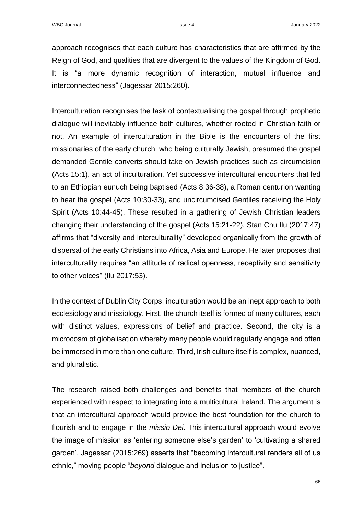approach recognises that each culture has characteristics that are affirmed by the Reign of God, and qualities that are divergent to the values of the Kingdom of God. It is "a more dynamic recognition of interaction, mutual influence and interconnectedness" (Jagessar 2015:260).

Interculturation recognises the task of contextualising the gospel through prophetic dialogue will inevitably influence both cultures, whether rooted in Christian faith or not. An example of interculturation in the Bible is the encounters of the first missionaries of the early church, who being culturally Jewish, presumed the gospel demanded Gentile converts should take on Jewish practices such as circumcision (Acts 15:1), an act of inculturation. Yet successive intercultural encounters that led to an Ethiopian eunuch being baptised (Acts 8:36-38), a Roman centurion wanting to hear the gospel (Acts 10:30-33), and uncircumcised Gentiles receiving the Holy Spirit (Acts 10:44-45). These resulted in a gathering of Jewish Christian leaders changing their understanding of the gospel (Acts 15:21-22). Stan Chu Ilu (2017:47) affirms that "diversity and interculturality" developed organically from the growth of dispersal of the early Christians into Africa, Asia and Europe. He later proposes that interculturality requires "an attitude of radical openness, receptivity and sensitivity to other voices" (Ilu 2017:53).

In the context of Dublin City Corps, inculturation would be an inept approach to both ecclesiology and missiology. First, the church itself is formed of many cultures, each with distinct values, expressions of belief and practice. Second, the city is a microcosm of globalisation whereby many people would regularly engage and often be immersed in more than one culture. Third, Irish culture itself is complex, nuanced, and pluralistic.

The research raised both challenges and benefits that members of the church experienced with respect to integrating into a multicultural Ireland. The argument is that an intercultural approach would provide the best foundation for the church to flourish and to engage in the *missio Dei*. This intercultural approach would evolve the image of mission as 'entering someone else's garden' to 'cultivating a shared garden'. Jagessar (2015:269) asserts that "becoming intercultural renders all of us ethnic," moving people "*beyond* dialogue and inclusion to justice".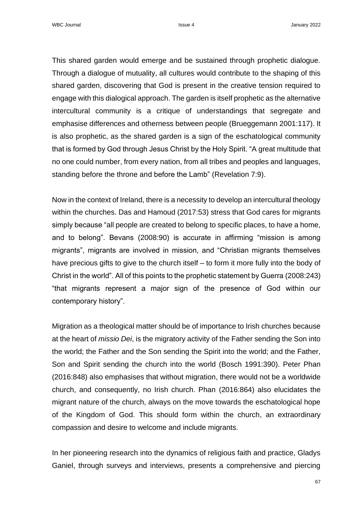This shared garden would emerge and be sustained through prophetic dialogue. Through a dialogue of mutuality, all cultures would contribute to the shaping of this shared garden, discovering that God is present in the creative tension required to engage with this dialogical approach. The garden is itself prophetic as the alternative intercultural community is a critique of understandings that segregate and emphasise differences and otherness between people (Brueggemann 2001:117). It is also prophetic, as the shared garden is a sign of the eschatological community that is formed by God through Jesus Christ by the Holy Spirit. "A great multitude that no one could number, from every nation, from all tribes and peoples and languages, standing before the throne and before the Lamb" (Revelation 7:9).

Now in the context of Ireland, there is a necessity to develop an intercultural theology within the churches. Das and Hamoud (2017:53) stress that God cares for migrants simply because "all people are created to belong to specific places, to have a home, and to belong". Bevans (2008:90) is accurate in affirming "mission is among migrants", migrants are involved in mission, and "Christian migrants themselves have precious gifts to give to the church itself – to form it more fully into the body of Christ in the world". All of this points to the prophetic statement by Guerra (2008:243) "that migrants represent a major sign of the presence of God within our contemporary history".

Migration as a theological matter should be of importance to Irish churches because at the heart of *missio Dei*, is the migratory activity of the Father sending the Son into the world; the Father and the Son sending the Spirit into the world; and the Father, Son and Spirit sending the church into the world (Bosch 1991:390). Peter Phan (2016:848) also emphasises that without migration, there would not be a worldwide church, and consequently, no Irish church. Phan (2016:864) also elucidates the migrant nature of the church, always on the move towards the eschatological hope of the Kingdom of God. This should form within the church, an extraordinary compassion and desire to welcome and include migrants.

In her pioneering research into the dynamics of religious faith and practice, Gladys Ganiel, through surveys and interviews, presents a comprehensive and piercing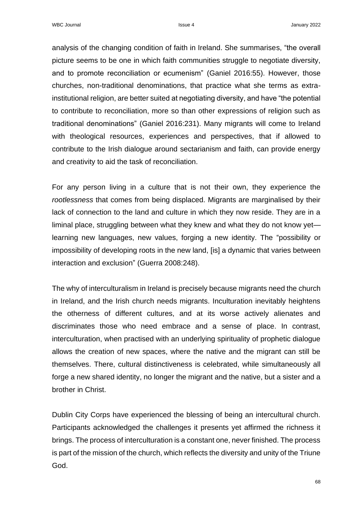analysis of the changing condition of faith in Ireland. She summarises, "the overall picture seems to be one in which faith communities struggle to negotiate diversity, and to promote reconciliation or ecumenism" (Ganiel 2016:55). However, those churches, non-traditional denominations, that practice what she terms as extrainstitutional religion, are better suited at negotiating diversity, and have "the potential to contribute to reconciliation, more so than other expressions of religion such as traditional denominations" (Ganiel 2016:231). Many migrants will come to Ireland with theological resources, experiences and perspectives, that if allowed to contribute to the Irish dialogue around sectarianism and faith, can provide energy and creativity to aid the task of reconciliation.

For any person living in a culture that is not their own, they experience the *rootlessness* that comes from being displaced. Migrants are marginalised by their lack of connection to the land and culture in which they now reside. They are in a liminal place, struggling between what they knew and what they do not know yet learning new languages, new values, forging a new identity. The "possibility or impossibility of developing roots in the new land, [is] a dynamic that varies between interaction and exclusion" (Guerra 2008:248).

The why of interculturalism in Ireland is precisely because migrants need the church in Ireland, and the Irish church needs migrants. Inculturation inevitably heightens the otherness of different cultures, and at its worse actively alienates and discriminates those who need embrace and a sense of place. In contrast, interculturation, when practised with an underlying spirituality of prophetic dialogue allows the creation of new spaces, where the native and the migrant can still be themselves. There, cultural distinctiveness is celebrated, while simultaneously all forge a new shared identity, no longer the migrant and the native, but a sister and a brother in Christ.

Dublin City Corps have experienced the blessing of being an intercultural church. Participants acknowledged the challenges it presents yet affirmed the richness it brings. The process of interculturation is a constant one, never finished. The process is part of the mission of the church, which reflects the diversity and unity of the Triune God.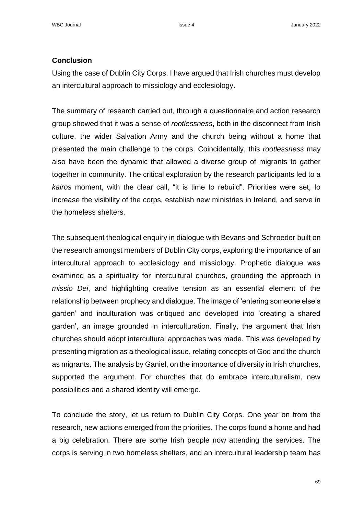## **Conclusion**

Using the case of Dublin City Corps, I have argued that Irish churches must develop an intercultural approach to missiology and ecclesiology.

The summary of research carried out, through a questionnaire and action research group showed that it was a sense of *rootlessness*, both in the disconnect from Irish culture, the wider Salvation Army and the church being without a home that presented the main challenge to the corps. Coincidentally, this *rootlessness* may also have been the dynamic that allowed a diverse group of migrants to gather together in community. The critical exploration by the research participants led to a *kairos* moment, with the clear call, "it is time to rebuild". Priorities were set, to increase the visibility of the corps, establish new ministries in Ireland, and serve in the homeless shelters.

The subsequent theological enquiry in dialogue with Bevans and Schroeder built on the research amongst members of Dublin City corps, exploring the importance of an intercultural approach to ecclesiology and missiology. Prophetic dialogue was examined as a spirituality for intercultural churches, grounding the approach in *missio Dei*, and highlighting creative tension as an essential element of the relationship between prophecy and dialogue. The image of 'entering someone else's garden' and inculturation was critiqued and developed into 'creating a shared garden', an image grounded in interculturation. Finally, the argument that Irish churches should adopt intercultural approaches was made. This was developed by presenting migration as a theological issue, relating concepts of God and the church as migrants. The analysis by Ganiel, on the importance of diversity in Irish churches, supported the argument. For churches that do embrace interculturalism, new possibilities and a shared identity will emerge.

To conclude the story, let us return to Dublin City Corps. One year on from the research, new actions emerged from the priorities. The corps found a home and had a big celebration. There are some Irish people now attending the services. The corps is serving in two homeless shelters, and an intercultural leadership team has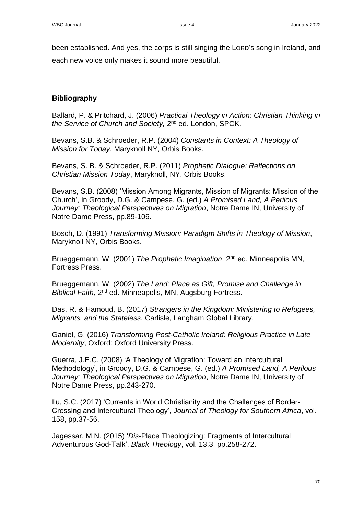been established. And yes, the corps is still singing the LORD's song in Ireland, and each new voice only makes it sound more beautiful.

### **Bibliography**

Ballard, P. & Pritchard, J. (2006) *Practical Theology in Action: Christian Thinking in*  the Service of Church and Society, 2<sup>nd</sup> ed. London, SPCK.

Bevans, S.B. & Schroeder, R.P. (2004) *Constants in Context: A Theology of Mission for Today*, Maryknoll NY, Orbis Books.

Bevans, S. B. & Schroeder, R.P. (2011) *Prophetic Dialogue: Reflections on Christian Mission Today*, Maryknoll, NY, Orbis Books.

Bevans, S.B. (2008) 'Mission Among Migrants, Mission of Migrants: Mission of the Church', in Groody, D.G. & Campese, G. (ed.) *A Promised Land, A Perilous Journey: Theological Perspectives on Migration*, Notre Dame IN, University of Notre Dame Press, pp.89-106.

Bosch, D. (1991) *Transforming Mission: Paradigm Shifts in Theology of Mission*, Maryknoll NY, Orbis Books.

Brueggemann, W. (2001) The Prophetic Imagination, 2<sup>nd</sup> ed. Minneapolis MN, Fortress Press.

Brueggemann, W. (2002) *The Land: Place as Gift, Promise and Challenge in*  Biblical Faith, 2<sup>nd</sup> ed. Minneapolis, MN, Augsburg Fortress.

Das, R. & Hamoud, B. (2017) *Strangers in the Kingdom: Ministering to Refugees, Migrants, and the Stateless*, Carlisle, Langham Global Library.

Ganiel, G. (2016) *Transforming Post-Catholic Ireland: Religious Practice in Late Modernity*, Oxford: Oxford University Press.

Guerra, J.E.C. (2008) 'A Theology of Migration: Toward an Intercultural Methodology', in Groody, D.G. & Campese, G. (ed.) *A Promised Land, A Perilous Journey: Theological Perspectives on Migration*, Notre Dame IN, University of Notre Dame Press, pp.243-270.

Ilu, S.C. (2017) 'Currents in World Christianity and the Challenges of Border-Crossing and Intercultural Theology', *Journal of Theology for Southern Africa*, vol. 158, pp.37-56.

Jagessar, M.N. (2015) '*Dis*-Place Theologizing: Fragments of Intercultural Adventurous God-Talk', *Black Theology*, vol. 13.3, pp.258-272.